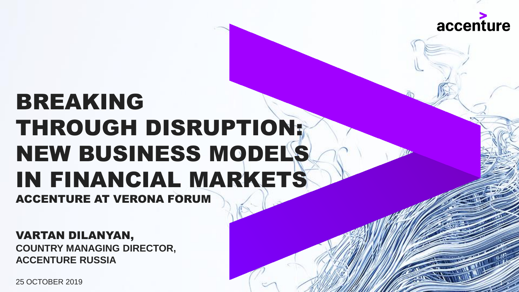

1

# BREAKING THROUGH DISRUPTION: NEW BUSINESS MODELS IN FINANCIAL MARKETS ACCENTURE AT VERONA FORUM

VARTAN DILANYAN, **COUNTRY MANAGING DIRECTOR, ACCENTURE RUSSIA** 

25 OCTOBER 2019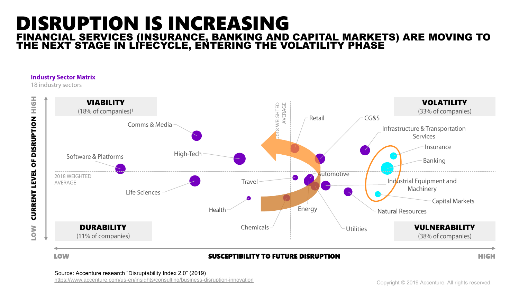### DISRUPTION IS INCREASING FINANCIAL SERVICES (INSURANCE, BANKING AND CAPITAL MARKETS) ARE MOVING TO THE NEXT STAGE IN LIFECYCLE, ENTERING THE VOLATILITY PHASE

#### **Industry Sector Matrix**

18 industry sectors



### LOW SUSCEPTIBILITY TO FUTURE DISRUPTION HIGH

<https://www.accenture.com/us-en/insights/consulting/business-disruption-innovation>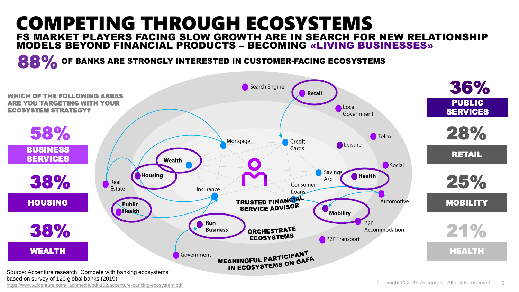### COMPETING THROUGH ECOSYSTEMS FS MARKET PLAYERS FACING SLOW GROWTH ARE IN SEARCH FOR NEW RELATIONSHIP MODELS BEYOND FINANCIAL PRODUCTS – BECOMING «LIVING BUSINESSES»

**88%** OF BANKS ARE STRONGLY INTERESTED IN CUSTOMER-FACING ECOSYSTEMS

[https://www.accenture.com/\\_acnmedia/pdf-102/accenture-banking-ecosystem.pdf](https://www.accenture.com/_acnmedia/pdf-102/accenture-banking-ecosystem.pdf?fbclid=IwAR2qUKiV-I446J51kvycfW_GHmPZs9AXUCRXDyw1nfUjCwga1miF_vuUnjo)

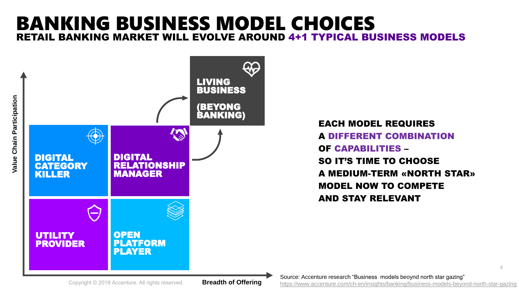## BANKING BUSINESS MODEL CHOICES RETAIL BANKING MARKET WILL EVOLVE AROUND 4+1 TYPICAL BUSINESS MODELS



EACH MODEL REQUIRES A DIFFERENT COMBINATION OF CAPABILITIES – SO IT'S TIME TO CHOOSE A MEDIUM-TERM «NORTH STAR» MODEL NOW TO COMPETE AND STAY RELEVANT

4 Source: Accenture research "Business models beoynd north star gazing" <https://www.accenture.com/ch-en/insights/banking/business-models-beyond-north-star-gazing>

Copyright © 2019 Accenture. All rights reserved.

**Breadth of Offering**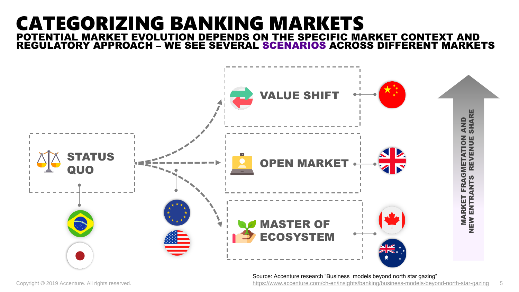### CATEGORIZING BANKING MARKETS POTENTIAL MARKET EVOLUTION DEPENDS ON THE SPECIFIC MARKET CONTEXT AND REGULATORY APPROACH – WE SEE SEVERAL SCENARIOS ACROSS DIFFERENT MARKETS



Source: Accenture research "Business models beyond north star gazing"

Copyright © 2019 Accenture. All rights reserved. The Same School of the Starbook of the Starbook of the Star-Gazing Schopyrights/banking/business-models-beyond-north-star-gazing 5